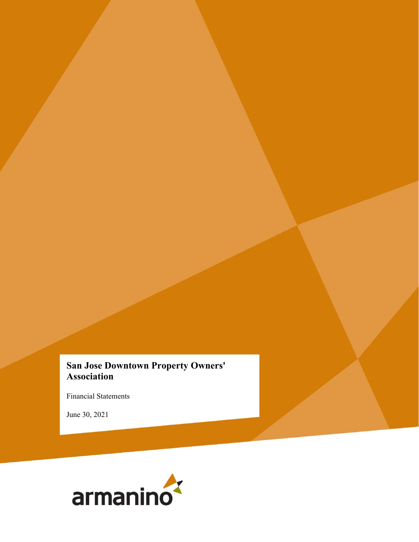# **San Jose Downtown Property Owners' Association**

Financial Statements

June 30, 2021

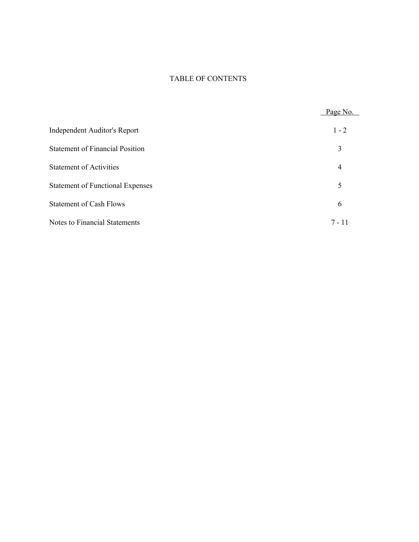## TABLE OF CONTENTS

|                                         | Page No. |
|-----------------------------------------|----------|
| Independent Auditor's Report            | $1 - 2$  |
| <b>Statement of Financial Position</b>  | 3        |
| <b>Statement of Activities</b>          | 4        |
| <b>Statement of Functional Expenses</b> | 5        |
| <b>Statement of Cash Flows</b>          | 6        |
| <b>Notes to Financial Statements</b>    | $7 - 11$ |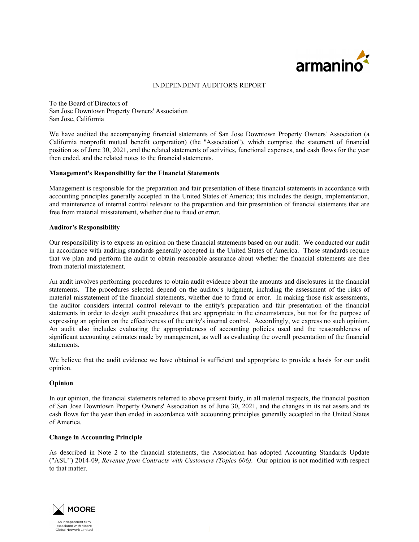

#### INDEPENDENT AUDITOR'S REPORT

To the Board of Directors of San Jose Downtown Property Owners' Association San Jose, California

We have audited the accompanying financial statements of San Jose Downtown Property Owners' Association (a California nonprofit mutual benefit corporation) (the ''Association''), which comprise the statement of financial position as of June 30, 2021, and the related statements of activities, functional expenses, and cash flows for the year then ended, and the related notes to the financial statements.

#### **Management's Responsibility for the Financial Statements**

Management is responsible for the preparation and fair presentation of these financial statements in accordance with accounting principles generally accepted in the United States of America; this includes the design, implementation, and maintenance of internal control relevant to the preparation and fair presentation of financial statements that are free from material misstatement, whether due to fraud or error.

#### **Auditor's Responsibility**

Our responsibility is to express an opinion on these financial statements based on our audit. We conducted our audit in accordance with auditing standards generally accepted in the United States of America. Those standards require that we plan and perform the audit to obtain reasonable assurance about whether the financial statements are free from material misstatement.

An audit involves performing procedures to obtain audit evidence about the amounts and disclosures in the financial statements. The procedures selected depend on the auditor's judgment, including the assessment of the risks of material misstatement of the financial statements, whether due to fraud or error. In making those risk assessments, the auditor considers internal control relevant to the entity's preparation and fair presentation of the financial statements in order to design audit procedures that are appropriate in the circumstances, but not for the purpose of expressing an opinion on the effectiveness of the entity's internal control. Accordingly, we express no such opinion. An audit also includes evaluating the appropriateness of accounting policies used and the reasonableness of significant accounting estimates made by management, as well as evaluating the overall presentation of the financial statements.

We believe that the audit evidence we have obtained is sufficient and appropriate to provide a basis for our audit opinion.

#### **Opinion**

In our opinion, the financial statements referred to above present fairly, in all material respects, the financial position of San Jose Downtown Property Owners' Association as of June 30, 2021, and the changes in its net assets and its cash flows for the year then ended in accordance with accounting principles generally accepted in the United States of America.

#### **Change in Accounting Principle**

As described in Note 2 to the financial statements, the Association has adopted Accounting Standards Update ("ASU") 2014-09, *Revenue from Contracts with Customers (Topics 606)*. Our opinion is not modified with respect to that matter.



iated with Global Network Limited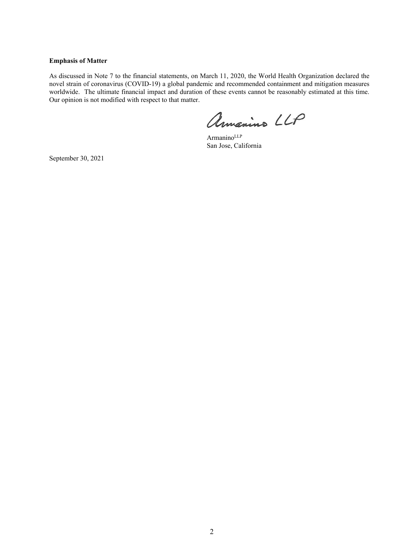#### **Emphasis of Matter**

As discussed in Note 7 to the financial statements, on March 11, 2020, the World Health Organization declared the novel strain of coronavirus (COVID-19) a global pandemic and recommended containment and mitigation measures worldwide. The ultimate financial impact and duration of these events cannot be reasonably estimated at this time. Our opinion is not modified with respect to that matter.

annanino LLP

Armanino<sup>LLP</sup> San Jose, California

September 30, 2021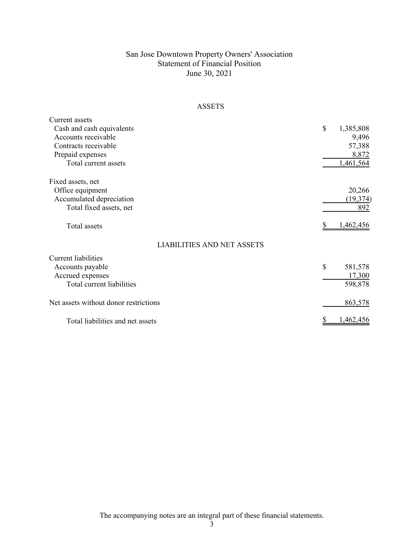## San Jose Downtown Property Owners' Association Statement of Financial Position June 30, 2021

## ASSETS

| Current assets                        |                 |
|---------------------------------------|-----------------|
| Cash and cash equivalents             | \$<br>1,385,808 |
| Accounts receivable                   | 9,496           |
| Contracts receivable                  | 57,388          |
| Prepaid expenses                      | 8,872           |
| Total current assets                  | 1,461,564       |
| Fixed assets, net                     |                 |
| Office equipment                      | 20,266          |
| Accumulated depreciation              | (19, 374)       |
| Total fixed assets, net               | 892             |
| Total assets                          | 1,462,456       |
| <b>LIABILITIES AND NET ASSETS</b>     |                 |
| <b>Current liabilities</b>            |                 |
| Accounts payable                      | \$<br>581,578   |
| Accrued expenses                      | 17,300          |
| Total current liabilities             | 598,878         |
| Net assets without donor restrictions | 863,578         |
| Total liabilities and net assets      | 1,462,456       |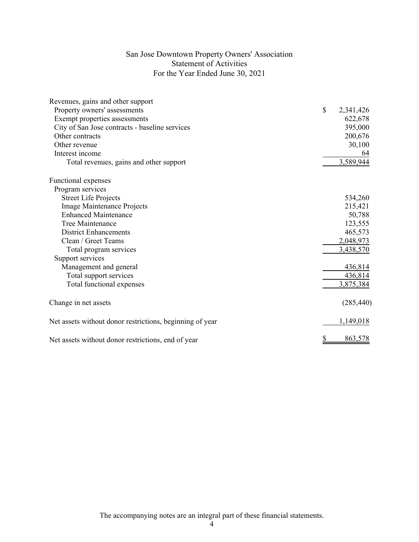## San Jose Downtown Property Owners' Association Statement of Activities For the Year Ended June 30, 2021

| Revenues, gains and other support                        |                 |
|----------------------------------------------------------|-----------------|
| Property owners' assessments                             | \$<br>2,341,426 |
| Exempt properties assessments                            | 622,678         |
| City of San Jose contracts - baseline services           | 395,000         |
| Other contracts                                          | 200,676         |
| Other revenue                                            | 30,100          |
| Interest income                                          | 64              |
| Total revenues, gains and other support                  | 3,589,944       |
| Functional expenses                                      |                 |
| Program services                                         |                 |
| <b>Street Life Projects</b>                              | 534,260         |
| <b>Image Maintenance Projects</b>                        | 215,421         |
| <b>Enhanced Maintenance</b>                              | 50,788          |
| Tree Maintenance                                         | 123,555         |
| <b>District Enhancements</b>                             | 465,573         |
| Clean / Greet Teams                                      | 2,048,973       |
| Total program services                                   | 3,438,570       |
| Support services                                         |                 |
| Management and general                                   | 436,814         |
| Total support services                                   | 436,814         |
| Total functional expenses                                | 3,875,384       |
| Change in net assets                                     | (285, 440)      |
| Net assets without donor restrictions, beginning of year | 1,149,018       |
| Net assets without donor restrictions, end of year       | \$<br>863,578   |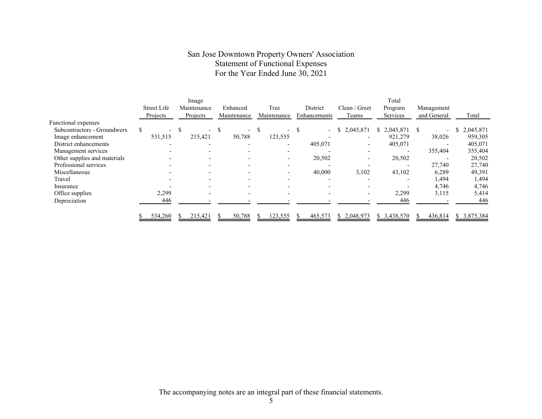## San Jose Downtown Property Owners' Association Statement of Functional Expenses For the Year Ended June 30, 2021

|                              |                               | Image                    |             |                          |                |                          | Total       |                               |              |
|------------------------------|-------------------------------|--------------------------|-------------|--------------------------|----------------|--------------------------|-------------|-------------------------------|--------------|
|                              | <b>Street Life</b>            | Maintenance              | Enhanced    | Tree                     | District       | Clean / Greet            | Program     | Management                    |              |
|                              | Projects                      | Projects                 | Maintenance | Maintenance              | Enhancements   | Teams                    | Services    | and General                   | Total        |
| Functional expenses          |                               |                          |             |                          |                |                          |             |                               |              |
| Subcontractors - Groundwerx  | S<br>$\overline{\phantom{a}}$ | S                        | S           | $\overline{\phantom{a}}$ | $\blacksquare$ | 2,045,871                | \$2,045,871 | S<br>$\overline{\phantom{a}}$ | 2,045,871    |
| Image enhancement            | 531,515                       | 215,421                  | 50,788      | 123,555                  |                |                          | 921,279     | 38,026                        | 959,305      |
| District enhancements        | $\overline{\phantom{0}}$      | $\overline{\phantom{0}}$ |             | $\overline{\phantom{0}}$ | 405,071        | $\overline{\phantom{0}}$ | 405,071     | $\overline{\phantom{0}}$      | 405,071      |
| Management services          |                               |                          |             | $\overline{\phantom{0}}$ |                | $\overline{\phantom{0}}$ |             | 355,404                       | 355,404      |
| Other supplies and materials |                               |                          |             | $\overline{\phantom{a}}$ | 20,502         |                          | 20,502      |                               | 20,502       |
| Professional services        |                               |                          |             | -                        |                |                          |             | 27,740                        | 27,740       |
| Miscellaneous                |                               |                          |             | $\overline{\phantom{a}}$ | 40,000         | 3,102                    | 43,102      | 6,289                         | 49,391       |
| Travel                       |                               |                          |             | $\overline{\phantom{0}}$ |                |                          |             | 1,494                         | 1,494        |
| Insurance                    |                               |                          |             |                          |                |                          |             | 4,746                         | 4,746        |
| Office supplies              | 2,299                         |                          |             | $\overline{\phantom{0}}$ |                |                          | 2,299       | 3,115                         | 5,414        |
| Depreciation                 | 446                           |                          |             |                          |                |                          | 446         |                               | 446          |
|                              | 534,260                       | 215,421                  | 50,788      | 123,555                  | 465,573        | 2,048,973<br>ъ.          | \$3,438,570 | 436,814<br>S.                 | \$ 3,875,384 |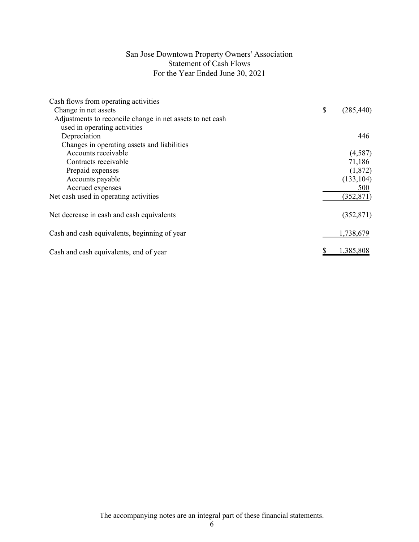## San Jose Downtown Property Owners' Association Statement of Cash Flows For the Year Ended June 30, 2021

| Cash flows from operating activities                      |                  |
|-----------------------------------------------------------|------------------|
| Change in net assets                                      | \$<br>(285, 440) |
| Adjustments to reconcile change in net assets to net cash |                  |
| used in operating activities                              |                  |
| Depreciation                                              | 446              |
| Changes in operating assets and liabilities               |                  |
| Accounts receivable                                       | (4,587)          |
| Contracts receivable                                      | 71,186           |
| Prepaid expenses                                          | (1,872)          |
| Accounts payable                                          | (133, 104)       |
| Accrued expenses                                          | 500              |
| Net cash used in operating activities                     | (352, 871)       |
| Net decrease in cash and cash equivalents                 | (352, 871)       |
| Cash and cash equivalents, beginning of year              | 1,738,679        |
| Cash and cash equivalents, end of year                    | 1,385,808        |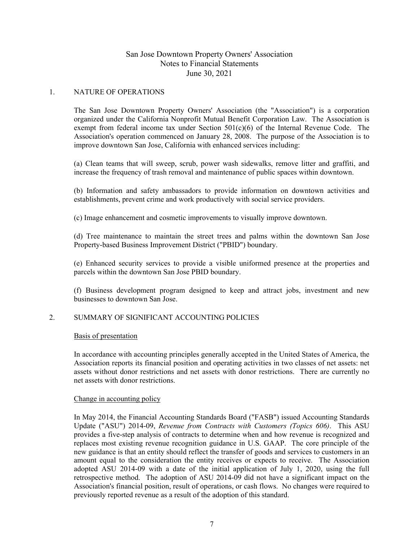### 1. NATURE OF OPERATIONS

The San Jose Downtown Property Owners' Association (the "Association") is a corporation organized under the California Nonprofit Mutual Benefit Corporation Law. The Association is exempt from federal income tax under Section 501(c)(6) of the Internal Revenue Code. The Association's operation commenced on January 28, 2008. The purpose of the Association is to improve downtown San Jose, California with enhanced services including:

(a) Clean teams that will sweep, scrub, power wash sidewalks, remove litter and graffiti, and increase the frequency of trash removal and maintenance of public spaces within downtown.

(b) Information and safety ambassadors to provide information on downtown activities and establishments, prevent crime and work productively with social service providers.

(c) Image enhancement and cosmetic improvements to visually improve downtown.

(d) Tree maintenance to maintain the street trees and palms within the downtown San Jose Property-based Business Improvement District ("PBID") boundary.

(e) Enhanced security services to provide a visible uniformed presence at the properties and parcels within the downtown San Jose PBID boundary.

(f) Business development program designed to keep and attract jobs, investment and new businesses to downtown San Jose.

#### 2. SUMMARY OF SIGNIFICANT ACCOUNTING POLICIES

#### Basis of presentation

In accordance with accounting principles generally accepted in the United States of America, the Association reports its financial position and operating activities in two classes of net assets: net assets without donor restrictions and net assets with donor restrictions. There are currently no net assets with donor restrictions.

### Change in accounting policy

In May 2014, the Financial Accounting Standards Board ("FASB") issued Accounting Standards Update ("ASU") 2014-09, *Revenue from Contracts with Customers (Topics 606)*. This ASU provides a five-step analysis of contracts to determine when and how revenue is recognized and replaces most existing revenue recognition guidance in U.S. GAAP. The core principle of the new guidance is that an entity should reflect the transfer of goods and services to customers in an amount equal to the consideration the entity receives or expects to receive. The Association adopted ASU 2014-09 with a date of the initial application of July 1, 2020, using the full retrospective method. The adoption of ASU 2014-09 did not have a significant impact on the Association's financial position, result of operations, or cash flows. No changes were required to previously reported revenue as a result of the adoption of this standard.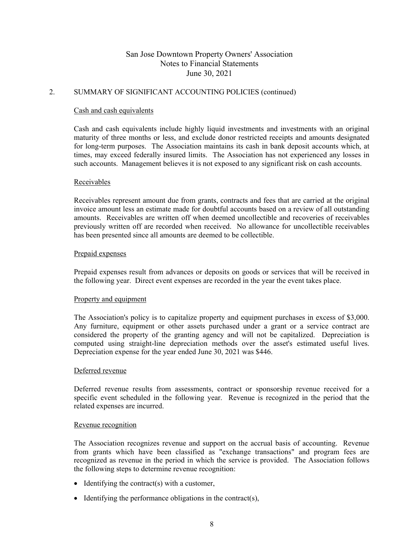### 2. SUMMARY OF SIGNIFICANT ACCOUNTING POLICIES (continued)

#### Cash and cash equivalents

Cash and cash equivalents include highly liquid investments and investments with an original maturity of three months or less, and exclude donor restricted receipts and amounts designated for long-term purposes. The Association maintains its cash in bank deposit accounts which, at times, may exceed federally insured limits. The Association has not experienced any losses in such accounts. Management believes it is not exposed to any significant risk on cash accounts.

#### Receivables

Receivables represent amount due from grants, contracts and fees that are carried at the original invoice amount less an estimate made for doubtful accounts based on a review of all outstanding amounts. Receivables are written off when deemed uncollectible and recoveries of receivables previously written off are recorded when received. No allowance for uncollectible receivables has been presented since all amounts are deemed to be collectible.

#### Prepaid expenses

Prepaid expenses result from advances or deposits on goods or services that will be received in the following year. Direct event expenses are recorded in the year the event takes place.

#### Property and equipment

The Association's policy is to capitalize property and equipment purchases in excess of \$3,000. Any furniture, equipment or other assets purchased under a grant or a service contract are considered the property of the granting agency and will not be capitalized. Depreciation is computed using straight-line depreciation methods over the asset's estimated useful lives. Depreciation expense for the year ended June 30, 2021 was \$446.

### Deferred revenue

Deferred revenue results from assessments, contract or sponsorship revenue received for a specific event scheduled in the following year. Revenue is recognized in the period that the related expenses are incurred.

#### Revenue recognition

The Association recognizes revenue and support on the accrual basis of accounting. Revenue from grants which have been classified as "exchange transactions" and program fees are recognized as revenue in the period in which the service is provided. The Association follows the following steps to determine revenue recognition:

- $\bullet$  Identifying the contract(s) with a customer,
- $\bullet$  Identifying the performance obligations in the contract(s),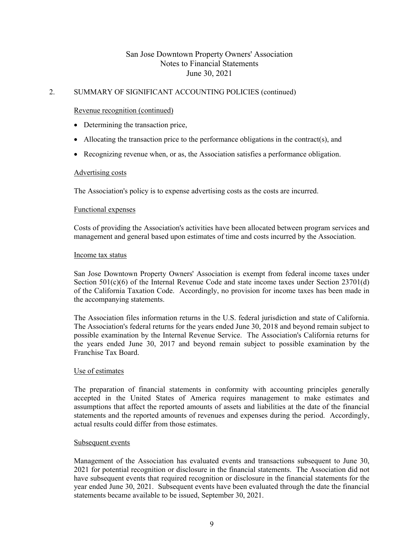### 2. SUMMARY OF SIGNIFICANT ACCOUNTING POLICIES (continued)

### Revenue recognition (continued)

- Determining the transaction price,
- Allocating the transaction price to the performance obligations in the contract(s), and
- Recognizing revenue when, or as, the Association satisfies a performance obligation.

### Advertising costs

The Association's policy is to expense advertising costs as the costs are incurred.

### Functional expenses

Costs of providing the Association's activities have been allocated between program services and management and general based upon estimates of time and costs incurred by the Association.

#### Income tax status

San Jose Downtown Property Owners' Association is exempt from federal income taxes under Section 501(c)(6) of the Internal Revenue Code and state income taxes under Section 23701(d) of the California Taxation Code. Accordingly, no provision for income taxes has been made in the accompanying statements.

The Association files information returns in the U.S. federal jurisdiction and state of California. The Association's federal returns for the years ended June 30, 2018 and beyond remain subject to possible examination by the Internal Revenue Service. The Association's California returns for the years ended June 30, 2017 and beyond remain subject to possible examination by the Franchise Tax Board.

### Use of estimates

The preparation of financial statements in conformity with accounting principles generally accepted in the United States of America requires management to make estimates and assumptions that affect the reported amounts of assets and liabilities at the date of the financial statements and the reported amounts of revenues and expenses during the period. Accordingly, actual results could differ from those estimates.

#### Subsequent events

Management of the Association has evaluated events and transactions subsequent to June 30, 2021 for potential recognition or disclosure in the financial statements. The Association did not have subsequent events that required recognition or disclosure in the financial statements for the year ended June 30, 2021. Subsequent events have been evaluated through the date the financial statements became available to be issued, September 30, 2021.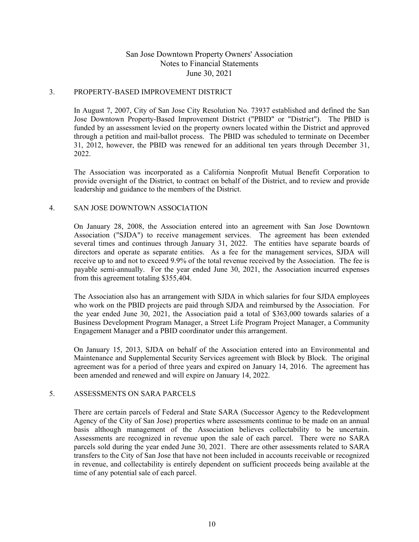### 3. PROPERTY-BASED IMPROVEMENT DISTRICT

In August 7, 2007, City of San Jose City Resolution No. 73937 established and defined the San Jose Downtown Property-Based Improvement District ("PBID" or "District"). The PBID is funded by an assessment levied on the property owners located within the District and approved through a petition and mail-ballot process. The PBID was scheduled to terminate on December 31, 2012, however, the PBID was renewed for an additional ten years through December 31, 2022.

The Association was incorporated as a California Nonprofit Mutual Benefit Corporation to provide oversight of the District, to contract on behalf of the District, and to review and provide leadership and guidance to the members of the District.

### 4. SAN JOSE DOWNTOWN ASSOCIATION

On January 28, 2008, the Association entered into an agreement with San Jose Downtown Association ("SJDA") to receive management services. The agreement has been extended several times and continues through January 31, 2022. The entities have separate boards of directors and operate as separate entities. As a fee for the management services, SJDA will receive up to and not to exceed 9.9% of the total revenue received by the Association. The fee is payable semi-annually. For the year ended June 30, 2021, the Association incurred expenses from this agreement totaling \$355,404.

The Association also has an arrangement with SJDA in which salaries for four SJDA employees who work on the PBID projects are paid through SJDA and reimbursed by the Association. For the year ended June 30, 2021, the Association paid a total of \$363,000 towards salaries of a Business Development Program Manager, a Street Life Program Project Manager, a Community Engagement Manager and a PBID coordinator under this arrangement.

On January 15, 2013, SJDA on behalf of the Association entered into an Environmental and Maintenance and Supplemental Security Services agreement with Block by Block. The original agreement was for a period of three years and expired on January 14, 2016. The agreement has been amended and renewed and will expire on January 14, 2022.

### 5. ASSESSMENTS ON SARA PARCELS

There are certain parcels of Federal and State SARA (Successor Agency to the Redevelopment Agency of the City of San Jose) properties where assessments continue to be made on an annual basis although management of the Association believes collectability to be uncertain. Assessments are recognized in revenue upon the sale of each parcel. There were no SARA parcels sold during the year ended June 30, 2021. There are other assessments related to SARA transfers to the City of San Jose that have not been included in accounts receivable or recognized in revenue, and collectability is entirely dependent on sufficient proceeds being available at the time of any potential sale of each parcel.